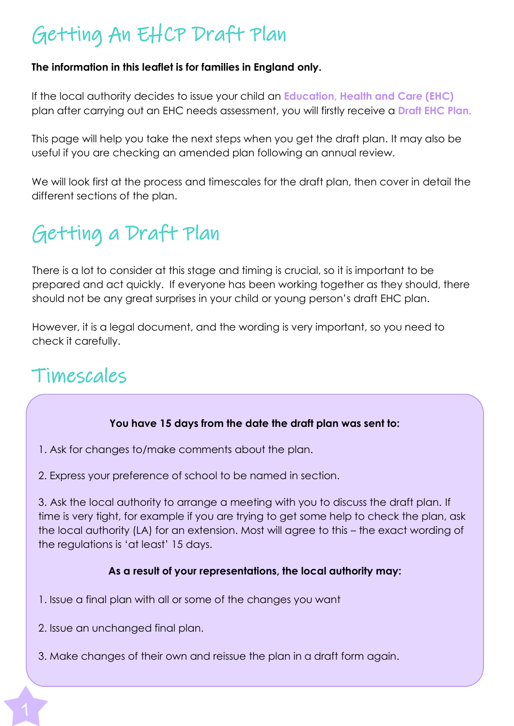# Getting An EHCP Draft Plan

#### **The information in this leaflet is for families in England only.**

If the local authority decides to issue your child an **Education, Health and Care (EHC)** plan after carrying out an EHC needs assessment, you will firstly receive a **Draft EHC Plan.**

This page will help you take the next steps when you get the draft plan. It may also be useful if you are checking an amended plan following an annual review.

We will look first at the process and timescales for the draft plan, then cover in detail the different sections of the plan.

# Getting a Draft Plan

There is a lot to consider at this stage and timing is crucial, so it is important to be prepared and act quickly. If everyone has been working together as they should, there should not be any great surprises in your child or young person's draft EHC plan.

However, it is a legal document, and the wording is very important, so you need to check it carefully.

## Timescales

#### **You have 15 days from the date the draft plan was sent to:**

- 1. Ask for changes to/make comments about the plan.
- 2. Express your preference of school to be named in section.

3. Ask the local authority to arrange a meeting with you to discuss the draft plan. If time is very tight, for example if you are trying to get some help to check the plan, ask the local authority (LA) for an extension. Most will agree to this – the exact wording of the regulations is 'at least' 15 days.

#### **As a result of your representations, the local authority may:**

- 1. Issue a final plan with all or some of the changes you want
- 2. Issue an unchanged final plan.
- 3. Make changes of their own and reissue the plan in a draft form again.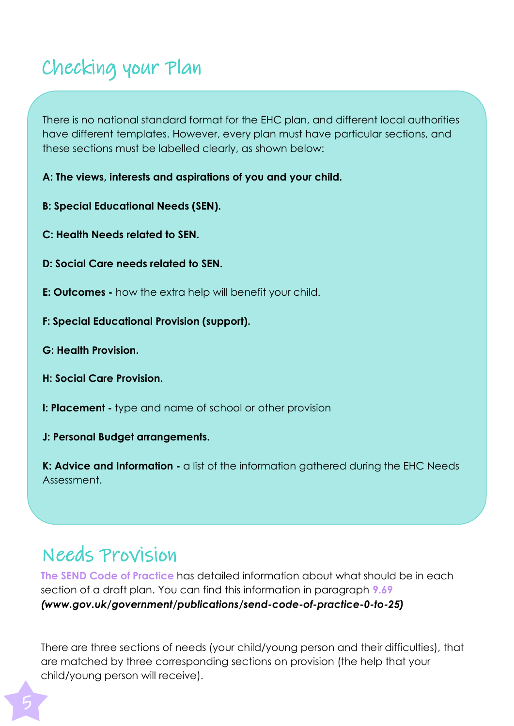## Checking your Plan

There is no national standard format for the EHC plan, and different local authorities have different templates. However, every plan must have particular sections, and these sections must be labelled clearly, as shown below:

**A: The views, interests and aspirations of you and your child.**

**B: Special Educational Needs (SEN).**

**C: Health Needs related to SEN.**

- **D: Social Care needs related to SEN.**
- **E: Outcomes -** how the extra help will benefit your child.
- **F: Special Educational Provision (support).**
- **G: Health Provision.**
- **H: Social Care Provision.**
- **I: Placement -** type and name of school or other provision
- **J: Personal Budget arrangements.**

**K: Advice and Information -** a list of the information gathered during the EHC Needs Assessment.

## Needs Provision

**The SEND Code of Practice** has detailed information about what should be in each section of a draft plan. You can find this information in paragraph **9.69** *[\(www.gov.uk/government/publications/send-code-of-practice-0-to-25\)](http://www.gov.uk/government/publications/send-code-of-practice-0-to-25)*

There are three sections of needs (your child/young person and their difficulties), that are matched by three corresponding sections on provision (the help that your child/young person will receive).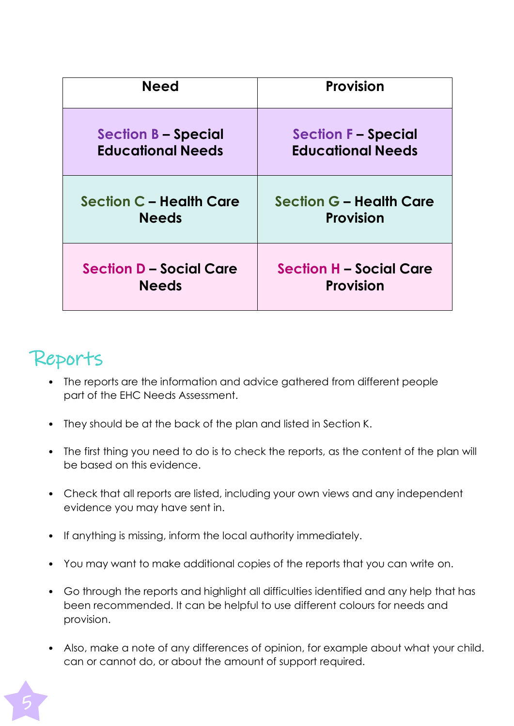| <b>Need</b>                    | <b>Provision</b>               |  |
|--------------------------------|--------------------------------|--|
| <b>Section B - Special</b>     | <b>Section F - Special</b>     |  |
| <b>Educational Needs</b>       | <b>Educational Needs</b>       |  |
| Section C - Health Care        | <b>Section G - Health Care</b> |  |
| <b>Needs</b>                   | <b>Provision</b>               |  |
| <b>Section D - Social Care</b> | <b>Section H - Social Care</b> |  |
| <b>Needs</b>                   | <b>Provision</b>               |  |

## Reports

- The reports are the information and advice gathered from different people part of the EHC Needs Assessment.
- They should be at the back of the plan and listed in Section K.
- The first thing you need to do is to check the reports, as the content of the plan will be based on this evidence.
- Check that all reports are listed, including your own views and any independent evidence you may have sent in.
- If anything is missing, inform the local authority immediately.
- You may want to make additional copies of the reports that you can write on.
- Go through the reports and highlight all difficulties identified and any help that has been recommended. It can be helpful to use different colours for needs and provision.
- Also, make a note of any differences of opinion, for example about what your child. can or cannot do, or about the amount of support required.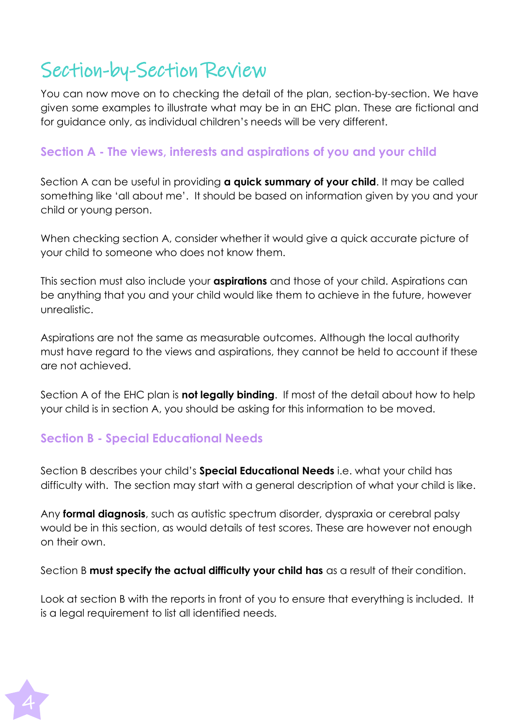## Section-by-Section Review

You can now move on to checking the detail of the plan, section-by-section. We have given some examples to illustrate what may be in an EHC plan. These are fictional and for guidance only, as individual children's needs will be very different.

### **Section A - The views, interests and aspirations of you and your child**

Section A can be useful in providing **a quick summary of your child**. It may be called something like 'all about me'. It should be based on information given by you and your child or young person.

When checking section A, consider whether it would give a quick accurate picture of your child to someone who does not know them.

This section must also include your **aspirations** and those of your child. Aspirations can be anything that you and your child would like them to achieve in the future, however unrealistic.

Aspirations are not the same as measurable outcomes. Although the local authority must have regard to the views and aspirations, they cannot be held to account if these are not achieved.

Section A of the EHC plan is **not legally binding**. If most of the detail about how to help your child is in section A, you should be asking for this information to be moved.

### **Section B - Special Educational Needs**

Section B describes your child's **Special Educational Needs** i.e. what your child has difficulty with. The section may start with a general description of what your child is like.

Any **formal diagnosis**, such as autistic spectrum disorder, dyspraxia or cerebral palsy would be in this section, as would details of test scores. These are however not enough on their own.

Section B **must specify the actual difficulty your child has** as a result of their condition.

Look at section B with the reports in front of you to ensure that everything is included. It is a legal requirement to list all identified needs.

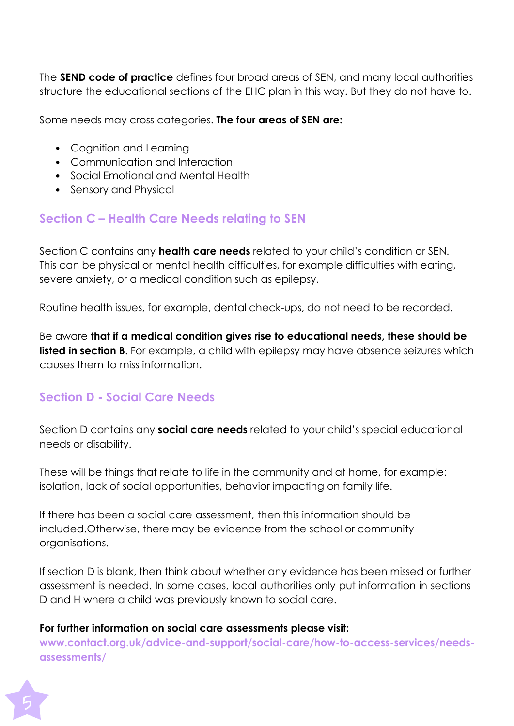The **SEND code of practice** defines four broad areas of SEN, and many local authorities structure the educational sections of the EHC plan in this way. But they do not have to.

Some needs may cross categories. **The four areas of SEN are:**

- Cognition and Learning
- Communication and Interaction
- Social Emotional and Mental Health
- Sensory and Physical

## **Section C – Health Care Needs relating to SEN**

Section C contains any **health care needs** related to your child's condition or SEN. This can be physical or mental health difficulties, for example difficulties with eating, severe anxiety, or a medical condition such as epilepsy.

Routine health issues, for example, dental check-ups, do not need to be recorded.

Be aware **that if a medical condition gives rise to educational needs, these should be listed in section B**. For example, a child with epilepsy may have absence seizures which causes them to miss information.

## **Section D - Social Care Needs**

Section D contains any **social care needs** related to your child's special educational needs or disability.

These will be things that relate to life in the community and at home, for example: isolation, lack of social opportunities, behavior impacting on family life.

If there has been a social care assessment, then this information should be included.Otherwise, there may be evidence from the school or community organisations.

If section D is blank, then think about whether any evidence has been missed or further assessment is needed. In some cases, local authorities only put information in sections D and H where a child was previously known to social care.

#### **For further information on social care assessments please visit:**

**[www.contact.org.uk/advice-and-support/social-care/how-to-access-services/needs](http://www.contact.org.uk/advice-and-support/social-care/how-to-access-services/needs-)assessments/**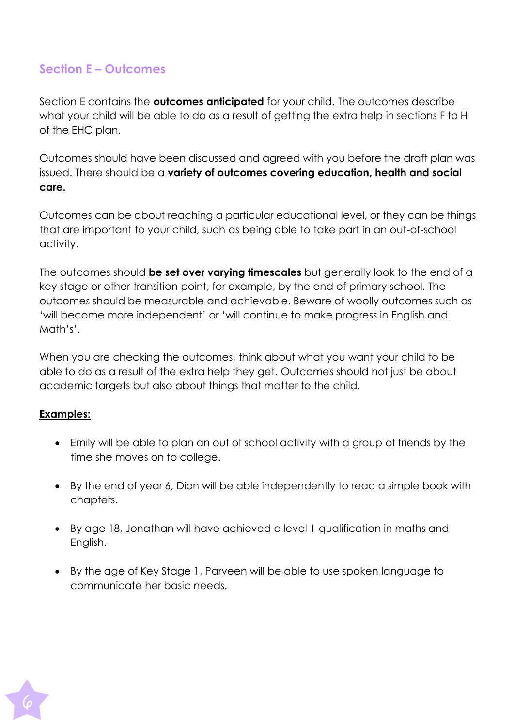## **Section E – Outcomes**

Section E contains the **outcomes anticipated** for your child. The outcomes describe what your child will be able to do as a result of getting the extra help in sections F to H of the EHC plan.

Outcomes should have been discussed and agreed with you before the draft plan was issued. There should be a **variety of outcomes covering education, health and social care.**

Outcomes can be about reaching a particular educational level, or they can be things that are important to your child, such as being able to take part in an out-of-school activity.

The outcomes should **be set over varying timescales** but generally look to the end of a key stage or other transition point, for example, by the end of primary school. The outcomes should be measurable and achievable. Beware of woolly outcomes such as 'will become more independent' or 'will continue to make progress in English and Math's'.

When you are checking the outcomes, think about what you want your child to be able to do as a result of the extra help they get. Outcomes should not just be about academic targets but also about things that matter to the child.

#### **Examples:**

- Emily will be able to plan an out of school activity with a group of friends by the time she moves on to college.
- By the end of year 6, Dion will be able independently to read a simple book with chapters.
- By age 18, Jonathan will have achieved a level 1 qualification in maths and English.
- By the age of Key Stage 1, Parveen will be able to use spoken language to communicate her basic needs.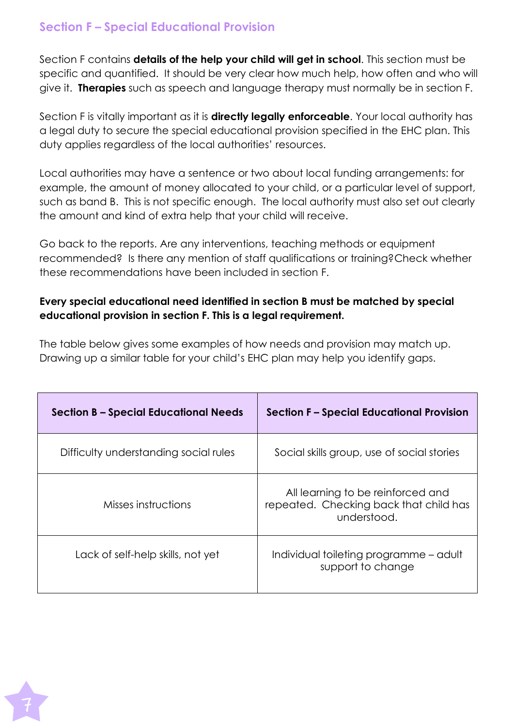## **Section F – Special Educational Provision**

Section F contains **details of the help your child will get in school**. This section must be specific and quantified. It should be very clear how much help, how often and who will give it. **Therapies** such as speech and language therapy must normally be in section F.

Section F is vitally important as it is **directly legally enforceable**. Your local authority has a legal duty to secure the special educational provision specified in the EHC plan. This duty applies regardless of the local authorities' resources.

Local authorities may have a sentence or two about local funding arrangements: for example, the amount of money allocated to your child, or a particular level of support, such as band B. This is not specific enough. The local authority must also set out clearly the amount and kind of extra help that your child will receive.

Go back to the reports. Are any interventions, teaching methods or equipment recommended? Is there any mention of staff qualifications or training?Check whether these recommendations have been included in section F.

### **Every special educational need identified in section B must be matched by special educational provision in section F. This is a legal requirement.**

The table below gives some examples of how needs and provision may match up. Drawing up a similar table for your child's EHC plan may help you identify gaps.

| <b>Section B - Special Educational Needs</b> | <b>Section F - Special Educational Provision</b>                                           |  |  |
|----------------------------------------------|--------------------------------------------------------------------------------------------|--|--|
| Difficulty understanding social rules        | Social skills group, use of social stories                                                 |  |  |
| Misses instructions                          | All learning to be reinforced and<br>repeated. Checking back that child has<br>understood. |  |  |
| Lack of self-help skills, not yet            | Individual toileting programme – adult<br>support to change                                |  |  |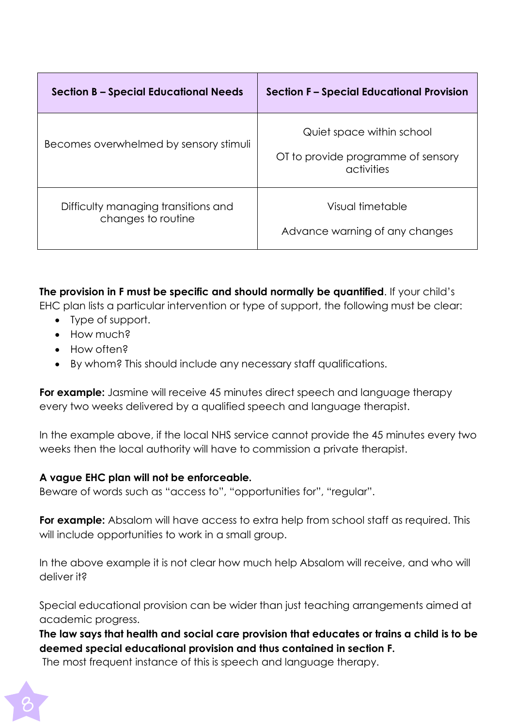| <b>Section B – Special Educational Needs</b>              | <b>Section F - Special Educational Provision</b>                              |  |  |
|-----------------------------------------------------------|-------------------------------------------------------------------------------|--|--|
| Becomes overwhelmed by sensory stimuli                    | Quiet space within school<br>OT to provide programme of sensory<br>activities |  |  |
| Difficulty managing transitions and<br>changes to routine | Visual timetable<br>Advance warning of any changes                            |  |  |

**The provision in F must be specific and should normally be quantified**. If your child's

EHC plan lists a particular intervention or type of support, the following must be clear:

- Type of support.
- How much?
- How often?
- By whom? This should include any necessary staff qualifications.

**For example:** Jasmine will receive 45 minutes direct speech and language therapy every two weeks delivered by a qualified speech and language therapist.

In the example above, if the local NHS service cannot provide the 45 minutes every two weeks then the local authority will have to commission a private therapist.

#### **A vague EHC plan will not be enforceable.**

Beware of words such as "access to", "opportunities for", "regular".

**For example:** Absalom will have access to extra help from school staff as required. This will include opportunities to work in a small group.

In the above example it is not clear how much help Absalom will receive, and who will deliver it?

Special educational provision can be wider than just teaching arrangements aimed at academic progress.

**The law says that health and social care provision that educates or trains a child is to be deemed special educational provision and thus contained in section F.**

The most frequent instance of this is speech and language therapy.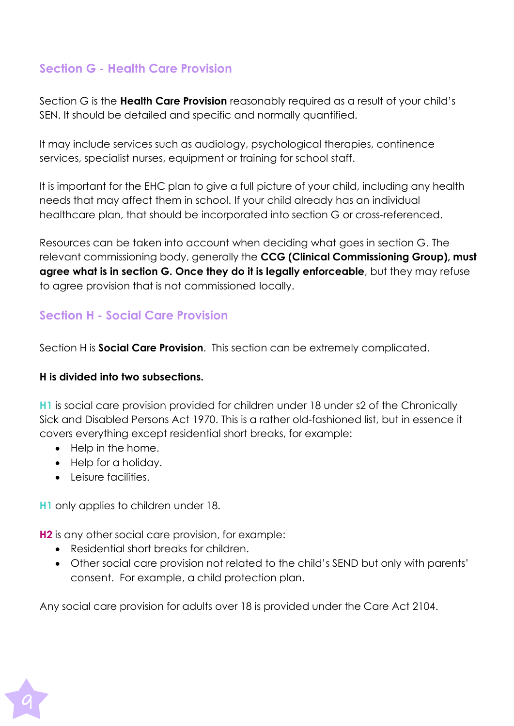## **Section G - Health Care Provision**

Section G is the **Health Care Provision** reasonably required as a result of your child's SEN. It should be detailed and specific and normally quantified.

It may include services such as audiology, psychological therapies, continence services, specialist nurses, equipment or training for school staff.

It is important for the EHC plan to give a full picture of your child, including any health needs that may affect them in school. If your child already has an individual healthcare plan, that should be incorporated into section G or cross-referenced.

Resources can be taken into account when deciding what goes in section G. The relevant commissioning body, generally the **CCG (Clinical Commissioning Group), must agree what is in section G. Once they do it is legally enforceable**, but they may refuse to agree provision that is not commissioned locally.

## **Section H - Social Care Provision**

Section H is **Social Care Provision**. This section can be extremely complicated.

#### **H is divided into two subsections.**

**H1** is social care provision provided for children under 18 under s2 of the Chronically Sick and Disabled Persons Act 1970. This is a rather old-fashioned list, but in essence it covers everything except residential short breaks, for example:

- Help in the home.
- Help for a holiday.
- Leisure facilities.

**H1** only applies to children under 18.

**H2** is any other social care provision, for example:

- Residential short breaks for children.
- Other social care provision not related to the child's SEND but only with parents' consent. For example, a child protection plan.

Any social care provision for adults over 18 is provided under the Care Act 2104.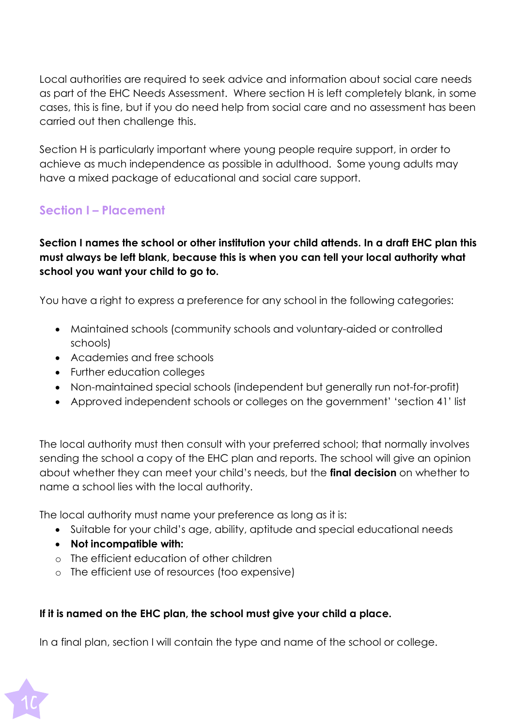Local authorities are required to seek advice and information about social care needs as part of the EHC Needs Assessment. Where section H is left completely blank, in some cases, this is fine, but if you do need help from social care and no assessment has been carried out then challenge this.

Section H is particularly important where young people require support, in order to achieve as much independence as possible in adulthood. Some young adults may have a mixed package of educational and social care support.

## **Section I – Placement**

### **Section I names the school or other institution your child attends. In a draft EHC plan this must always be left blank, because this is when you can tell your local authority what school you want your child to go to.**

You have a right to express a preference for any school in the following categories:

- Maintained schools (community schools and voluntary-aided or controlled schools)
- Academies and free schools
- Further education colleges
- Non-maintained special schools (independent but generally run not-for-profit)
- Approved independent schools or colleges on the government' 'section 41' list

The local authority must then consult with your preferred school; that normally involves sending the school a copy of the EHC plan and reports. The school will give an opinion about whether they can meet your child's needs, but the **final decision** on whether to name a school lies with the local authority.

The local authority must name your preference as long as it is:

- Suitable for your child's age, ability, aptitude and special educational needs
- **Not incompatible with:**
- o The efficient education of other children
- o The efficient use of resources (too expensive)

#### **If it is named on the EHC plan, the school must give your child a place.**

In a final plan, section I will contain the type and name of the school or college.

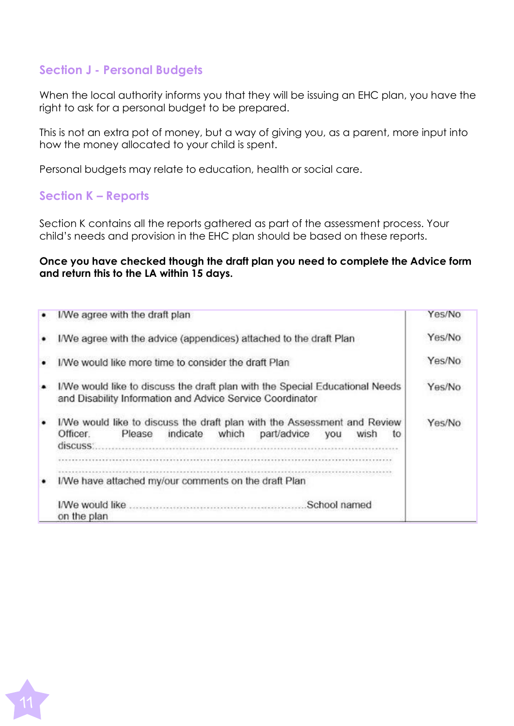### **Section J - Personal Budgets**

When the local authority informs you that they will be issuing an EHC plan, you have the right to ask for a personal budget to be prepared.

This is not an extra pot of money, but a way of giving you, as a parent, more input into how the money allocated to your child is spent.

Personal budgets may relate to education, health or social care.

### **Section K – Reports**

Section K contains all the reports gathered as part of the assessment process. Your child's needs and provision in the EHC plan should be based on these reports.

#### **Once you have checked though the draft plan you need to complete the Advice form and return this to the LA within 15 days.**

| I/We agree with the draft plan                                                                                                                                      | Yes/No |
|---------------------------------------------------------------------------------------------------------------------------------------------------------------------|--------|
| I/We agree with the advice (appendices) attached to the draft Plan                                                                                                  | Yes/No |
| I/We would like more time to consider the draft Plan                                                                                                                | Yes/No |
| I/We would like to discuss the draft plan with the Special Educational Needs<br>and Disability Information and Advice Service Coordinator                           | Yes/No |
| I/We would like to discuss the draft plan with the Assessment and Review<br>indicate<br>which<br>Officer.<br>part/advice<br>Please<br>you<br>wish<br>tο<br>discuss. | Yes/No |
| I/We have attached my/our comments on the draft Plan                                                                                                                |        |
| School named<br>on the plan                                                                                                                                         |        |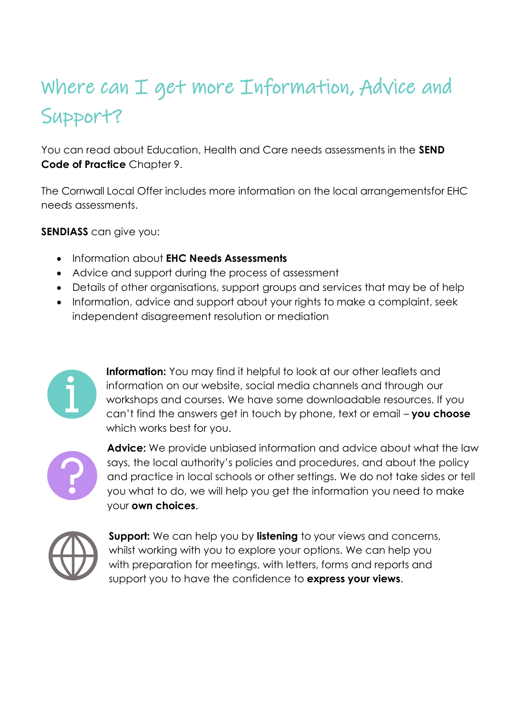# Where can I get more Information, Advice and Support?

You can read about Education, Health and Care needs assessments in the **SEND Code of Practice** Chapter 9.

The Cornwall Local Offer includes more information on the local arrangementsfor EHC needs assessments.

**SENDIASS** can give you:

- Information about **EHC Needs Assessments**
- Advice and support during the process of assessment
- Details of other organisations, support groups and services that may be of help
- Information, advice and support about your rights to make a complaint, seek independent disagreement resolution or mediation



**Information:** You may find it helpful to look at our other leaflets and information on our website, social media channels and through our workshops and courses. We have some downloadable resources. If you can't find the answers get in touch by phone, text or email – **you choose** which works best for you.



**Advice:** We provide unbiased information and advice about what the law says, the local authority's policies and procedures, and about the policy and practice in local schools or other settings. We do not take sides or tell you what to do, we will help you get the information you need to make your **own choices**.



**Support:** We can help you by **listening** to your views and concerns, whilst working with you to explore your options. We can help you with preparation for meetings, with letters, forms and reports and support you to have the confidence to **express your views**.